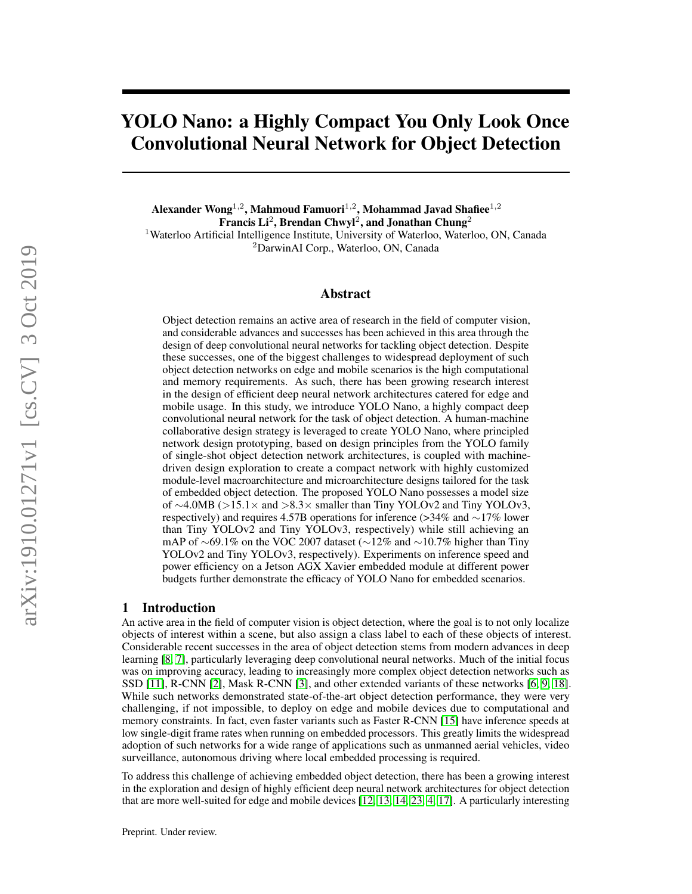# YOLO Nano: a Highly Compact You Only Look Once Convolutional Neural Network for Object Detection

Alexander Wong $^{1,2}$ , Mahmoud Famuori $^{1,2}$ , Mohammad Javad Shafiee $^{1,2}$ Francis Li $^2$ , Brendan Chwyl $^2$ , and Jonathan Chung $^2$ <sup>1</sup>Waterloo Artificial Intelligence Institute, University of Waterloo, Waterloo, ON, Canada <sup>2</sup>DarwinAI Corp., Waterloo, ON, Canada

# Abstract

Object detection remains an active area of research in the field of computer vision, and considerable advances and successes has been achieved in this area through the design of deep convolutional neural networks for tackling object detection. Despite these successes, one of the biggest challenges to widespread deployment of such object detection networks on edge and mobile scenarios is the high computational and memory requirements. As such, there has been growing research interest in the design of efficient deep neural network architectures catered for edge and mobile usage. In this study, we introduce YOLO Nano, a highly compact deep convolutional neural network for the task of object detection. A human-machine collaborative design strategy is leveraged to create YOLO Nano, where principled network design prototyping, based on design principles from the YOLO family of single-shot object detection network architectures, is coupled with machinedriven design exploration to create a compact network with highly customized module-level macroarchitecture and microarchitecture designs tailored for the task of embedded object detection. The proposed YOLO Nano possesses a model size of ∼4.0MB (>15.1× and >8.3× smaller than Tiny YOLOv2 and Tiny YOLOv3, respectively) and requires 4.57B operations for inference (>34% and ∼17% lower than Tiny YOLOv2 and Tiny YOLOv3, respectively) while still achieving an mAP of ~69.1% on the VOC 2007 dataset (~12% and ~10.7% higher than Tiny YOLOv2 and Tiny YOLOv3, respectively). Experiments on inference speed and power efficiency on a Jetson AGX Xavier embedded module at different power budgets further demonstrate the efficacy of YOLO Nano for embedded scenarios.

#### 1 Introduction

An active area in the field of computer vision is object detection, where the goal is to not only localize objects of interest within a scene, but also assign a class label to each of these objects of interest. Considerable recent successes in the area of object detection stems from modern advances in deep learning [\[8,](#page-4-0) [7\]](#page-4-1), particularly leveraging deep convolutional neural networks. Much of the initial focus was on improving accuracy, leading to increasingly more complex object detection networks such as SSD [\[11\]](#page-4-2), R-CNN [\[2\]](#page-4-3), Mask R-CNN [\[3\]](#page-4-4), and other extended variants of these networks [\[6,](#page-4-5) [9,](#page-4-6) [18\]](#page-4-7). While such networks demonstrated state-of-the-art object detection performance, they were very challenging, if not impossible, to deploy on edge and mobile devices due to computational and memory constraints. In fact, even faster variants such as Faster R-CNN [\[15\]](#page-4-8) have inference speeds at low single-digit frame rates when running on embedded processors. This greatly limits the widespread adoption of such networks for a wide range of applications such as unmanned aerial vehicles, video surveillance, autonomous driving where local embedded processing is required.

To address this challenge of achieving embedded object detection, there has been a growing interest in the exploration and design of highly efficient deep neural network architectures for object detection that are more well-suited for edge and mobile devices [\[12,](#page-4-9) [13,](#page-4-10) [14,](#page-4-11) [23,](#page-4-12) [4,](#page-4-13) [17\]](#page-4-14). A particularly interesting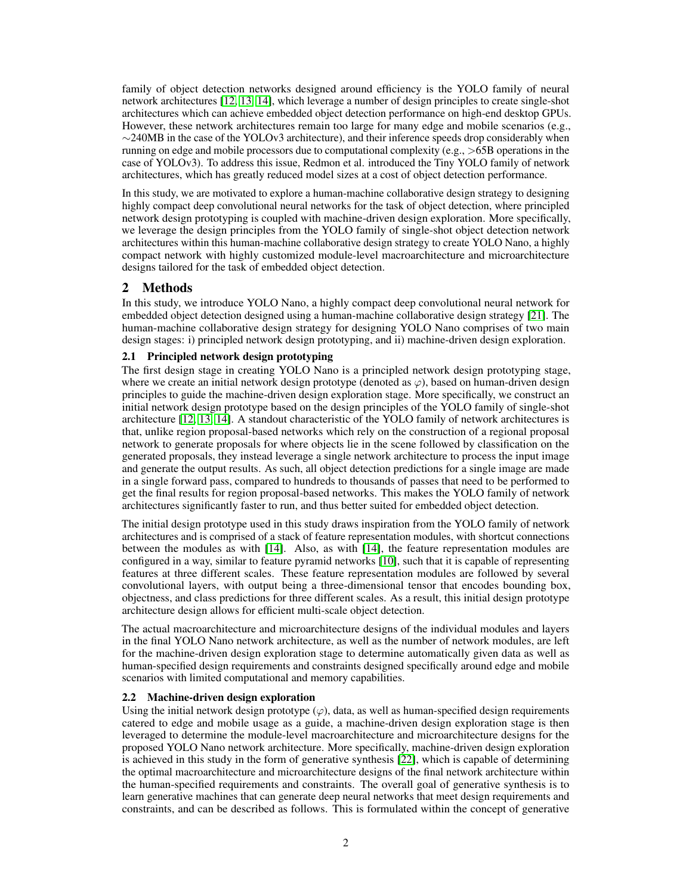family of object detection networks designed around efficiency is the YOLO family of neural network architectures [\[12,](#page-4-9) [13,](#page-4-10) [14\]](#page-4-11), which leverage a number of design principles to create single-shot architectures which can achieve embedded object detection performance on high-end desktop GPUs. However, these network architectures remain too large for many edge and mobile scenarios (e.g., ∼240MB in the case of the YOLOv3 architecture), and their inference speeds drop considerably when running on edge and mobile processors due to computational complexity (e.g.,  $>65B$  operations in the case of YOLOv3). To address this issue, Redmon et al. introduced the Tiny YOLO family of network architectures, which has greatly reduced model sizes at a cost of object detection performance.

In this study, we are motivated to explore a human-machine collaborative design strategy to designing highly compact deep convolutional neural networks for the task of object detection, where principled network design prototyping is coupled with machine-driven design exploration. More specifically, we leverage the design principles from the YOLO family of single-shot object detection network architectures within this human-machine collaborative design strategy to create YOLO Nano, a highly compact network with highly customized module-level macroarchitecture and microarchitecture designs tailored for the task of embedded object detection.

# 2 Methods

In this study, we introduce YOLO Nano, a highly compact deep convolutional neural network for embedded object detection designed using a human-machine collaborative design strategy [\[21\]](#page-4-15). The human-machine collaborative design strategy for designing YOLO Nano comprises of two main design stages: i) principled network design prototyping, and ii) machine-driven design exploration.

# 2.1 Principled network design prototyping

The first design stage in creating YOLO Nano is a principled network design prototyping stage, where we create an initial network design prototype (denoted as  $\varphi$ ), based on human-driven design principles to guide the machine-driven design exploration stage. More specifically, we construct an initial network design prototype based on the design principles of the YOLO family of single-shot architecture [\[12,](#page-4-9) [13,](#page-4-10) [14\]](#page-4-11). A standout characteristic of the YOLO family of network architectures is that, unlike region proposal-based networks which rely on the construction of a regional proposal network to generate proposals for where objects lie in the scene followed by classification on the generated proposals, they instead leverage a single network architecture to process the input image and generate the output results. As such, all object detection predictions for a single image are made in a single forward pass, compared to hundreds to thousands of passes that need to be performed to get the final results for region proposal-based networks. This makes the YOLO family of network architectures significantly faster to run, and thus better suited for embedded object detection.

The initial design prototype used in this study draws inspiration from the YOLO family of network architectures and is comprised of a stack of feature representation modules, with shortcut connections between the modules as with [\[14\]](#page-4-11). Also, as with [\[14\]](#page-4-11), the feature representation modules are configured in a way, similar to feature pyramid networks [\[10\]](#page-4-16), such that it is capable of representing features at three different scales. These feature representation modules are followed by several convolutional layers, with output being a three-dimensional tensor that encodes bounding box, objectness, and class predictions for three different scales. As a result, this initial design prototype architecture design allows for efficient multi-scale object detection.

The actual macroarchitecture and microarchitecture designs of the individual modules and layers in the final YOLO Nano network architecture, as well as the number of network modules, are left for the machine-driven design exploration stage to determine automatically given data as well as human-specified design requirements and constraints designed specifically around edge and mobile scenarios with limited computational and memory capabilities.

# 2.2 Machine-driven design exploration

Using the initial network design prototype  $(\varphi)$ , data, as well as human-specified design requirements catered to edge and mobile usage as a guide, a machine-driven design exploration stage is then leveraged to determine the module-level macroarchitecture and microarchitecture designs for the proposed YOLO Nano network architecture. More specifically, machine-driven design exploration is achieved in this study in the form of generative synthesis [\[22\]](#page-4-17), which is capable of determining the optimal macroarchitecture and microarchitecture designs of the final network architecture within the human-specified requirements and constraints. The overall goal of generative synthesis is to learn generative machines that can generate deep neural networks that meet design requirements and constraints, and can be described as follows. This is formulated within the concept of generative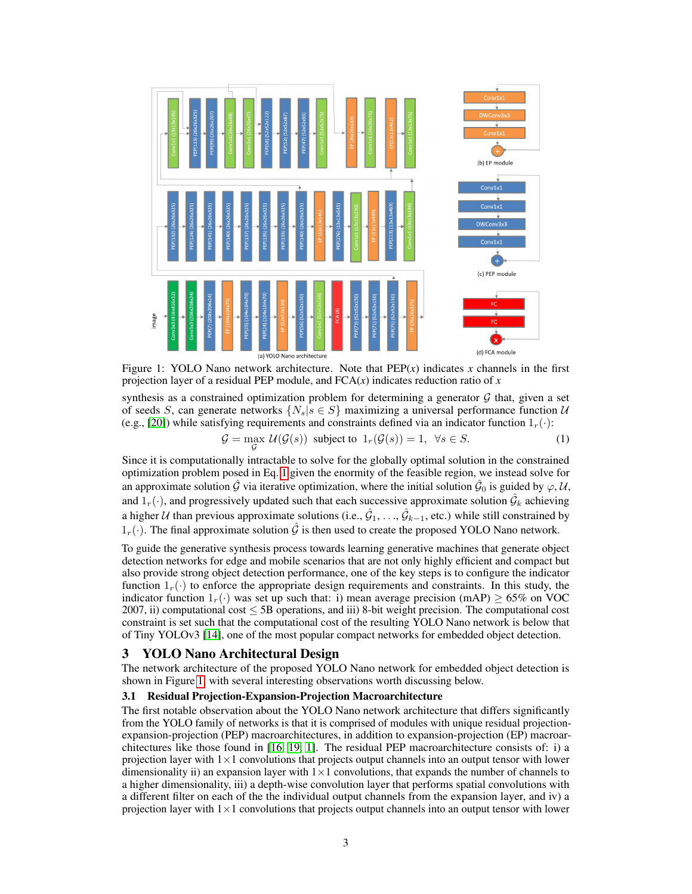

<span id="page-2-1"></span>Figure 1: YOLO Nano network architecture. Note that  $PEP(x)$  indicates x channels in the first projection layer of a residual PEP module, and  $FCA(x)$  indicates reduction ratio of  $x$ 

synthesis as a constrained optimization problem for determining a generator  $G$  that, given a set of seeds S, can generate networks  $\{N_s | s \in S\}$  maximizing a universal performance function U (e.g., [\[20\]](#page-4-18)) while satisfying requirements and constraints defined via an indicator function  $1<sub>r</sub>(·)$ :

<span id="page-2-0"></span>
$$
\mathcal{G} = \max_{\mathcal{G}} \mathcal{U}(\mathcal{G}(s)) \text{ subject to } 1_r(\mathcal{G}(s)) = 1, \ \forall s \in S. \tag{1}
$$

Since it is computationally intractable to solve for the globally optimal solution in the constrained optimization problem posed in Eq. [1](#page-2-0) given the enormity of the feasible region, we instead solve for an approximate solution  $\hat{G}$  via iterative optimization, where the initial solution  $\hat{\cal G}_0$  is guided by  $\varphi, {\cal U},$ and  $1_r(\cdot)$ , and progressively updated such that each successive approximate solution  $\hat{G}_k$  achieving a higher  $U$  than previous approximate solutions (i.e.,  $\hat{G}_1, \ldots, \hat{G}_{k-1}$ , etc.) while still constrained by  $1_r(\cdot)$ . The final approximate solution  $\hat{G}$  is then used to create the proposed YOLO Nano network.

To guide the generative synthesis process towards learning generative machines that generate object detection networks for edge and mobile scenarios that are not only highly efficient and compact but also provide strong object detection performance, one of the key steps is to configure the indicator function  $1_r(\cdot)$  to enforce the appropriate design requirements and constraints. In this study, the indicator function  $1_r(\cdot)$  was set up such that: i) mean average precision (mAP)  $\geq 65\%$  on VOC 2007, ii) computational cost ≤ 5B operations, and iii) 8-bit weight precision. The computational cost constraint is set such that the computational cost of the resulting YOLO Nano network is below that of Tiny YOLOv3 [\[14\]](#page-4-11), one of the most popular compact networks for embedded object detection.

# 3 YOLO Nano Architectural Design

The network architecture of the proposed YOLO Nano network for embedded object detection is shown in Figure [1,](#page-2-1) with several interesting observations worth discussing below.

# 3.1 Residual Projection-Expansion-Projection Macroarchitecture

The first notable observation about the YOLO Nano network architecture that differs significantly from the YOLO family of networks is that it is comprised of modules with unique residual projectionexpansion-projection (PEP) macroarchitectures, in addition to expansion-projection (EP) macroarchitectures like those found in [\[16,](#page-4-19) [19,](#page-4-20) [1\]](#page-4-21). The residual PEP macroarchitecture consists of: i) a projection layer with  $1\times1$  convolutions that projects output channels into an output tensor with lower dimensionality ii) an expansion layer with  $1\times1$  convolutions, that expands the number of channels to a higher dimensionality, iii) a depth-wise convolution layer that performs spatial convolutions with a different filter on each of the the individual output channels from the expansion layer, and iv) a projection layer with  $1\times1$  convolutions that projects output channels into an output tensor with lower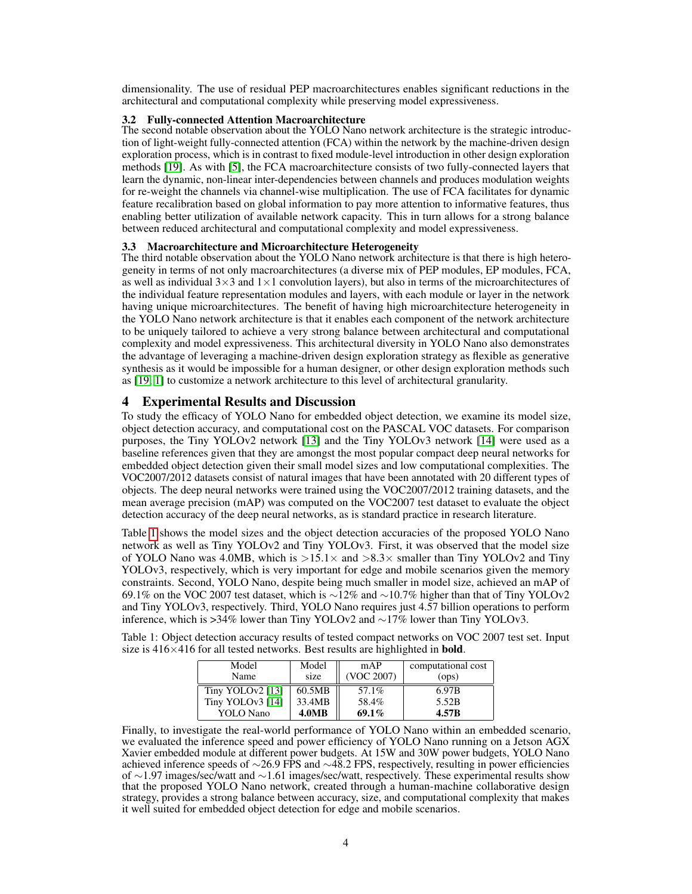dimensionality. The use of residual PEP macroarchitectures enables significant reductions in the architectural and computational complexity while preserving model expressiveness.

#### 3.2 Fully-connected Attention Macroarchitecture

The second notable observation about the YOLO Nano network architecture is the strategic introduction of light-weight fully-connected attention (FCA) within the network by the machine-driven design exploration process, which is in contrast to fixed module-level introduction in other design exploration methods [\[19\]](#page-4-20). As with [\[5\]](#page-4-22), the FCA macroarchitecture consists of two fully-connected layers that learn the dynamic, non-linear inter-dependencies between channels and produces modulation weights for re-weight the channels via channel-wise multiplication. The use of FCA facilitates for dynamic feature recalibration based on global information to pay more attention to informative features, thus enabling better utilization of available network capacity. This in turn allows for a strong balance between reduced architectural and computational complexity and model expressiveness.

#### 3.3 Macroarchitecture and Microarchitecture Heterogeneity

The third notable observation about the YOLO Nano network architecture is that there is high heterogeneity in terms of not only macroarchitectures (a diverse mix of PEP modules, EP modules, FCA, as well as individual  $3\times3$  and  $1\times1$  convolution layers), but also in terms of the microarchitectures of the individual feature representation modules and layers, with each module or layer in the network having unique microarchitectures. The benefit of having high microarchitecture heterogeneity in the YOLO Nano network architecture is that it enables each component of the network architecture to be uniquely tailored to achieve a very strong balance between architectural and computational complexity and model expressiveness. This architectural diversity in YOLO Nano also demonstrates the advantage of leveraging a machine-driven design exploration strategy as flexible as generative synthesis as it would be impossible for a human designer, or other design exploration methods such as [\[19,](#page-4-20) [1\]](#page-4-21) to customize a network architecture to this level of architectural granularity.

# 4 Experimental Results and Discussion

To study the efficacy of YOLO Nano for embedded object detection, we examine its model size, object detection accuracy, and computational cost on the PASCAL VOC datasets. For comparison purposes, the Tiny YOLOv2 network [\[13\]](#page-4-10) and the Tiny YOLOv3 network [\[14\]](#page-4-11) were used as a baseline references given that they are amongst the most popular compact deep neural networks for embedded object detection given their small model sizes and low computational complexities. The VOC2007/2012 datasets consist of natural images that have been annotated with 20 different types of objects. The deep neural networks were trained using the VOC2007/2012 training datasets, and the mean average precision (mAP) was computed on the VOC2007 test dataset to evaluate the object detection accuracy of the deep neural networks, as is standard practice in research literature.

Table [1](#page-3-0) shows the model sizes and the object detection accuracies of the proposed YOLO Nano network as well as Tiny YOLOv2 and Tiny YOLOv3. First, it was observed that the model size of YOLO Nano was 4.0MB, which is  $>15.1\times$  and  $>8.3\times$  smaller than Tiny YOLOv2 and Tiny YOLOv3, respectively, which is very important for edge and mobile scenarios given the memory constraints. Second, YOLO Nano, despite being much smaller in model size, achieved an mAP of 69.1% on the VOC 2007 test dataset, which is ∼12% and ∼10.7% higher than that of Tiny YOLOv2 and Tiny YOLOv3, respectively. Third, YOLO Nano requires just 4.57 billion operations to perform inference, which is >34% lower than Tiny YOLOv2 and ∼17% lower than Tiny YOLOv3.

<span id="page-3-0"></span>Table 1: Object detection accuracy results of tested compact networks on VOC 2007 test set. Input size is  $416\times416$  for all tested networks. Best results are highlighted in **bold**.

| Model            | Model  | mAP        | computational cost |
|------------------|--------|------------|--------------------|
| Name             | size   | (VOC 2007) | (ops)              |
| Tiny YOLOv2 [13] | 60.5MB | 57.1%      | 6.97B              |
| Tiny YOLOv3 [14] | 33.4MB | 58.4%      | 5.52B              |
| YOLO Nano        | 4.0MB  | $69.1\%$   | 4.57B              |

Finally, to investigate the real-world performance of YOLO Nano within an embedded scenario, we evaluated the inference speed and power efficiency of YOLO Nano running on a Jetson AGX Xavier embedded module at different power budgets. At 15W and 30W power budgets, YOLO Nano achieved inference speeds of ∼26.9 FPS and ∼48.2 FPS, respectively, resulting in power efficiencies of ∼1.97 images/sec/watt and ∼1.61 images/sec/watt, respectively. These experimental results show that the proposed YOLO Nano network, created through a human-machine collaborative design strategy, provides a strong balance between accuracy, size, and computational complexity that makes it well suited for embedded object detection for edge and mobile scenarios.